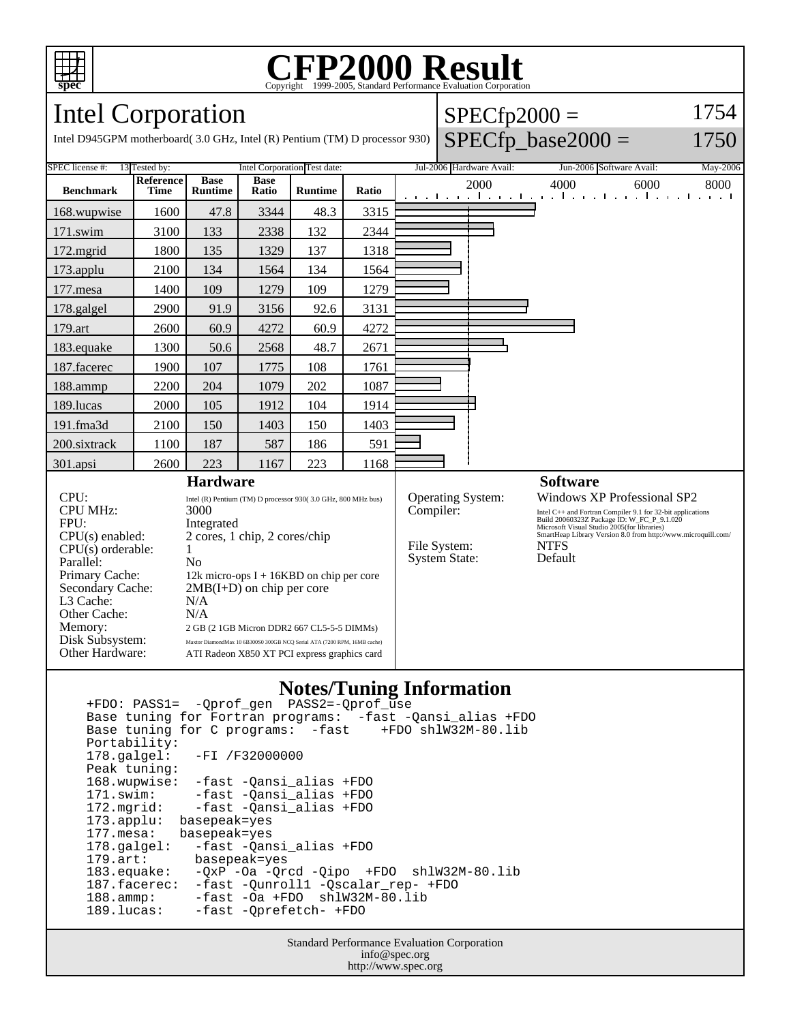

# Copyright ©1999-2005, Standard Performance Evaluation Corporation

Intel Corporation

Memory: 2 GB (2 1GB Micron DDR2 667 CL5-5-5 DIMMs) Disk Subsystem: Maxtor DiamondMax 10 6B300S0 300GB NCQ Serial ATA (7200 RPM, 16MB cache) Other Hardware: ATI Radeon X850 XT PCI express graphics card

| Intel Corporation                                                |                     |                        |                      | $SPECfp2000 =$                                                                                        |       |  |                          |      |                          |          |
|------------------------------------------------------------------|---------------------|------------------------|----------------------|-------------------------------------------------------------------------------------------------------|-------|--|--------------------------|------|--------------------------|----------|
|                                                                  |                     |                        |                      | Intel D945GPM motherboard(3.0 GHz, Intel (R) Pentium (TM) D processor 930) $\left $ SPECfp base2000 = |       |  | 750                      |      |                          |          |
| Intel Corporation Test date:<br>13 Tested by:<br>SPEC license #: |                     |                        |                      |                                                                                                       |       |  | Jul-2006 Hardware Avail: |      | Jun-2006 Software Avail: | May-2006 |
| <b>Benchmark</b>                                                 | l Reference<br>Time | Base<br><b>Runtime</b> | <b>Base</b><br>Ratio | <b>Runtime</b>                                                                                        | Ratio |  | 2000                     | 4000 | 6000                     | 8000     |

| <b>Benchmark</b>                                                | <b>Time</b> | <b>Runtime</b>                                                                     | Ratio | <b>Runtime</b>                             | Ratio           | $\sim$<br>,,,,,,,<br>المتوجبا وتوجا وتوجا وتوجا وتوجا وتوجا وتوجا وتوج                                                                                                           |
|-----------------------------------------------------------------|-------------|------------------------------------------------------------------------------------|-------|--------------------------------------------|-----------------|----------------------------------------------------------------------------------------------------------------------------------------------------------------------------------|
| 168.wupwise                                                     | 1600        | 47.8                                                                               | 3344  | 48.3                                       | 3315            |                                                                                                                                                                                  |
| $171$ .swim                                                     | 3100        | 133                                                                                | 2338  | 132                                        | 2344            |                                                                                                                                                                                  |
| 172.mgrid                                                       | 1800        | 135                                                                                | 1329  | 137                                        | 1318            |                                                                                                                                                                                  |
| 173.applu                                                       | 2100        | 134                                                                                | 1564  | 134                                        | 1564            |                                                                                                                                                                                  |
| 177.mesa                                                        | 1400        | 109                                                                                | 1279  | 109                                        | 1279            |                                                                                                                                                                                  |
| 178.galgel                                                      | 2900        | 91.9                                                                               | 3156  | 92.6                                       | 3131            |                                                                                                                                                                                  |
| 179.art                                                         | 2600        | 60.9                                                                               | 4272  | 60.9                                       | 4272            |                                                                                                                                                                                  |
| 183.equake                                                      | 1300        | 50.6                                                                               | 2568  | 48.7                                       | 2671            |                                                                                                                                                                                  |
| 187.facerec                                                     | 1900        | 107                                                                                | 1775  | 108                                        | 1761            |                                                                                                                                                                                  |
| $188$ .ammp                                                     | 2200        | 204                                                                                | 1079  | 202                                        | 1087            |                                                                                                                                                                                  |
| 189.lucas                                                       | 2000        | 105                                                                                | 1912  | 104                                        | 1914            |                                                                                                                                                                                  |
| $191$ .fma $3d$                                                 | 2100        | 150                                                                                | 1403  | 150                                        | 1403            |                                                                                                                                                                                  |
| 200.sixtrack                                                    | 1100        | 187                                                                                | 587   | 186                                        | 591             |                                                                                                                                                                                  |
| 301.apsi                                                        | 2600        | 223                                                                                | 1167  | 223                                        | 1168            |                                                                                                                                                                                  |
|                                                                 |             | <b>Hardware</b>                                                                    |       |                                            | <b>Software</b> |                                                                                                                                                                                  |
| CPU:<br><b>CPU MHz:</b><br>FPU:                                 |             | Intel (R) Pentium (TM) D processor 930(3.0 GHz, 800 MHz bus)<br>3000<br>Integrated |       |                                            |                 | <b>Operating System:</b><br>Windows XP Professional SP2<br>Compiler:<br>Intel C++ and Fortran Compiler 9.1 for 32-bit applications<br>Build 20060323Z Package ID: W_FC_P_9.1.020 |
| $CPU(s)$ enabled:<br>$CPU(s)$ orderable:<br>Parallel:           |             | 2 cores, 1 chip, 2 cores/chip<br>No                                                |       |                                            |                 | Microsoft Visual Studio 2005(for libraries)<br>SmartHeap Library Version 8.0 from http://www.microquill.com/<br>File System:<br><b>NTFS</b><br><b>System State:</b><br>Default   |
| Primary Cache:<br>Secondary Cache:<br>L3 Cache:<br>Other Cache: |             | $2MB(I+D)$ on chip per core<br>N/A<br>N/A                                          |       | 12k micro-ops $I + 16KBD$ on chip per core |                 |                                                                                                                                                                                  |

#### **Notes/Tuning Information**

 +FDO: PASS1= -Qprof\_gen PASS2=-Qprof\_use Base tuning for Fortran programs: -fast -Qansi\_alias +FDO Base tuning for C programs: -fast Portability:<br>178.galgel: -FI /F32000000 Peak tuning: 168.wupwise: -fast -Qansi\_alias +FDO 171.swim: -fast -Qansi\_alias +FDO<br>172.mgrid: -fast -Qansi\_alias +FDO -fast -Qansi\_alias +FDO 173.applu: basepeak=yes 177.mesa: basepeak=yes 178.galgel: -fast -Qansi\_alias +FDO<br>179.art: basepeak=yes 179.art: basepeak=yes<br>183.equake: -QxP -Oa -Qr  $-QXP$  -Oa -Qrcd -Qipo +FDO shlW32M-80.lib 187.facerec: -fast -Qunroll1 -Qscalar\_rep- +FDO 188.ammp: -fast -Oa +FDO shlW32M-80.lib<br>189.lucas: -fast -Oprefetch- +FDO -fast -Qprefetch- +FDO

> Standard Performance Evaluation Corporation info@spec.org http://www.spec.org